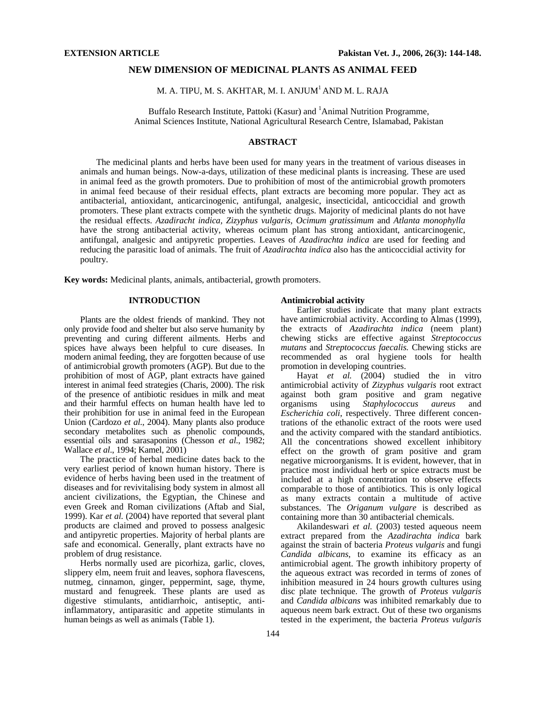# **NEW DIMENSION OF MEDICINAL PLANTS AS ANIMAL FEED**

# M. A. TIPU, M. S. AKHTAR, M. I. ANJUM<sup>1</sup> AND M. L. RAJA

Buffalo Research Institute, Pattoki (Kasur) and <sup>1</sup>Animal Nutrition Programme, Animal Sciences Institute, National Agricultural Research Centre, Islamabad, Pakistan

# **ABSTRACT**

The medicinal plants and herbs have been used for many years in the treatment of various diseases in animals and human beings. Now-a-days, utilization of these medicinal plants is increasing. These are used in animal feed as the growth promoters. Due to prohibition of most of the antimicrobial growth promoters in animal feed because of their residual effects, plant extracts are becoming more popular. They act as antibacterial, antioxidant, anticarcinogenic, antifungal, analgesic, insecticidal, anticoccidial and growth promoters. These plant extracts compete with the synthetic drugs. Majority of medicinal plants do not have the residual effects. *Azadiracht indica, Zizyphus vulgaris, Ocimum gratissimum* and *Atlanta monophylla* have the strong antibacterial activity, whereas ocimum plant has strong antioxidant, anticarcinogenic, antifungal, analgesic and antipyretic properties. Leaves of *Azadirachta indica* are used for feeding and reducing the parasitic load of animals. The fruit of *Azadirachta indica* also has the anticoccidial activity for poultry.

**Key words:** Medicinal plants, animals, antibacterial, growth promoters.

# **INTRODUCTION**

Plants are the oldest friends of mankind. They not only provide food and shelter but also serve humanity by preventing and curing different ailments. Herbs and spices have always been helpful to cure diseases. In modern animal feeding, they are forgotten because of use of antimicrobial growth promoters (AGP). But due to the prohibition of most of AGP, plant extracts have gained interest in animal feed strategies (Charis, 2000). The risk of the presence of antibiotic residues in milk and meat and their harmful effects on human health have led to their prohibition for use in animal feed in the European Union (Cardozo *et al*., 2004). Many plants also produce secondary metabolites such as phenolic compounds, essential oils and sarasaponins (Chesson *et al*., 1982; Wallace *et al*., 1994; Kamel, 2001)

The practice of herbal medicine dates back to the very earliest period of known human history. There is evidence of herbs having been used in the treatment of diseases and for revivitalising body system in almost all ancient civilizations, the Egyptian, the Chinese and even Greek and Roman civilizations (Aftab and Sial, 1999). Kar *et al.* (2004) have reported that several plant products are claimed and proved to possess analgesic and antipyretic properties. Majority of herbal plants are safe and economical. Generally, plant extracts have no problem of drug resistance.

Herbs normally used are picorhiza, garlic, cloves, slippery elm, neem fruit and leaves, sophora flavescens, nutmeg, cinnamon, ginger, peppermint, sage, thyme, mustard and fenugreek. These plants are used as digestive stimulants, antidiarrhoic, antiseptic, antiinflammatory, antiparasitic and appetite stimulants in human beings as well as animals (Table 1).

#### **Antimicrobial activity**

Earlier studies indicate that many plant extracts have antimicrobial activity. According to Almas (1999), the extracts of *Azadirachta indica* (neem plant) chewing sticks are effective against *Streptococcus mutans* and *Streptococcus faecalis.* Chewing sticks are recommended as oral hygiene tools for health promotion in developing countries.

Hayat *et al.* (2004) studied the in vitro antimicrobial activity of *Zizyphus vulgaris* root extract against both gram positive and gram negative organisms using *Staphylococcus aureus* and *Escherichia coli*, respectively. Three different concentrations of the ethanolic extract of the roots were used and the activity compared with the standard antibiotics. All the concentrations showed excellent inhibitory effect on the growth of gram positive and gram negative microorganisms. It is evident, however, that in practice most individual herb or spice extracts must be included at a high concentration to observe effects comparable to those of antibiotics. This is only logical as many extracts contain a multitude of active substances. The *Origanum vulgare* is described as containing more than 30 antibacterial chemicals.

Akilandeswari *et al.* (2003) tested aqueous neem extract prepared from the *Azadirachta indica* bark against the strain of bacteria *Proteus vulgaris* and fungi *Candida albicans*, to examine its efficacy as an antimicrobial agent. The growth inhibitory property of the aqueous extract was recorded in terms of zones of inhibition measured in 24 hours growth cultures using disc plate technique. The growth of *Proteus vulgaris* and *Candida albicans* was inhibited remarkably due to aqueous neem bark extract. Out of these two organisms tested in the experiment, the bacteria *Proteus vulgaris*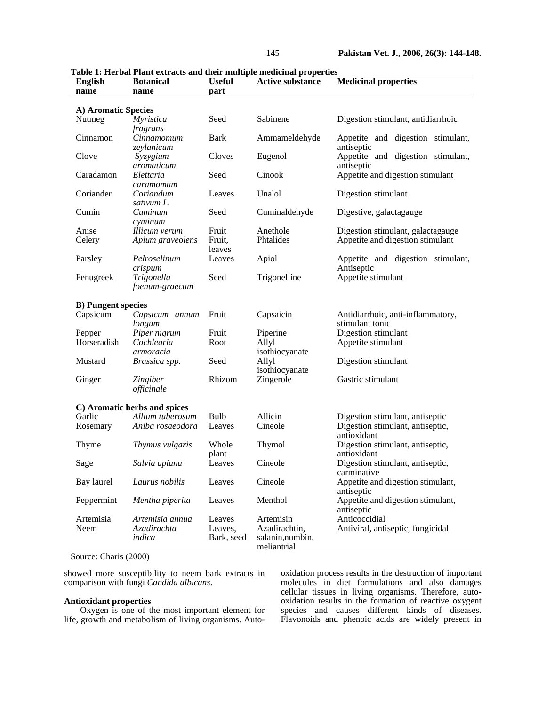| <b>English</b>             | ****** *******<br>-------------<br><b>Medicinal properties</b><br><b>Botanical</b><br><b>Useful</b><br><b>Active substance</b> |                   |                            |                                                    |  |  |  |  |  |  |
|----------------------------|--------------------------------------------------------------------------------------------------------------------------------|-------------------|----------------------------|----------------------------------------------------|--|--|--|--|--|--|
| name                       | name                                                                                                                           | part              |                            |                                                    |  |  |  |  |  |  |
|                            |                                                                                                                                |                   |                            |                                                    |  |  |  |  |  |  |
| A) Aromatic Species        |                                                                                                                                |                   |                            |                                                    |  |  |  |  |  |  |
| Nutmeg                     | <i>Myristica</i>                                                                                                               | Seed              | Sabinene                   | Digestion stimulant, antidiarrhoic                 |  |  |  |  |  |  |
|                            | fragrans                                                                                                                       |                   |                            |                                                    |  |  |  |  |  |  |
| Cinnamon                   | Cinnamomum                                                                                                                     | <b>Bark</b>       | Ammameldehyde              | Appetite and digestion stimulant,<br>antiseptic    |  |  |  |  |  |  |
| Clove                      | zeylanicum<br>Syzygium                                                                                                         | Cloves            | Eugenol                    | Appetite and digestion stimulant,                  |  |  |  |  |  |  |
|                            | aromaticum                                                                                                                     |                   |                            | antiseptic                                         |  |  |  |  |  |  |
| Caradamon                  | Elettaria                                                                                                                      | Seed              | Cinook                     | Appetite and digestion stimulant                   |  |  |  |  |  |  |
|                            | caramomum                                                                                                                      |                   |                            |                                                    |  |  |  |  |  |  |
| Coriander                  | Coriandum                                                                                                                      | Leaves            | Unalol                     | Digestion stimulant                                |  |  |  |  |  |  |
|                            | sativum L.                                                                                                                     |                   |                            |                                                    |  |  |  |  |  |  |
| Cumin                      | Cuminum                                                                                                                        | Seed              | Cuminaldehyde              | Digestive, galactagauge                            |  |  |  |  |  |  |
|                            | $c$ <i>yminum</i>                                                                                                              |                   |                            |                                                    |  |  |  |  |  |  |
| Anise                      | Illicum verum                                                                                                                  | Fruit             | Anethole<br>Phtalides      | Digestion stimulant, galactagauge                  |  |  |  |  |  |  |
| Celery                     | Apium graveolens                                                                                                               | Fruit,<br>leaves  |                            | Appetite and digestion stimulant                   |  |  |  |  |  |  |
| Parsley                    | Pelroselinum                                                                                                                   | Leaves            | Apiol                      | Appetite and digestion stimulant,                  |  |  |  |  |  |  |
|                            | crispum                                                                                                                        |                   |                            | Antiseptic                                         |  |  |  |  |  |  |
| Fenugreek                  | Trigonella                                                                                                                     | Seed              | Trigonelline               | Appetite stimulant                                 |  |  |  |  |  |  |
|                            | foenum-graecum                                                                                                                 |                   |                            |                                                    |  |  |  |  |  |  |
|                            |                                                                                                                                |                   |                            |                                                    |  |  |  |  |  |  |
| <b>B</b> ) Pungent species |                                                                                                                                |                   |                            |                                                    |  |  |  |  |  |  |
| Capsicum                   | Capsicum annum                                                                                                                 | Fruit             | Capsaicin                  | Antidiarrhoic, anti-inflammatory,                  |  |  |  |  |  |  |
|                            | longum                                                                                                                         | Fruit             |                            | stimulant tonic<br>Digestion stimulant             |  |  |  |  |  |  |
| Pepper<br>Horseradish      | Piper nigrum<br>Cochlearia                                                                                                     | Root              | Piperine<br>Allyl          | Appetite stimulant                                 |  |  |  |  |  |  |
|                            | armoracia                                                                                                                      |                   | isothiocyanate             |                                                    |  |  |  |  |  |  |
| Mustard                    | Brassica spp.                                                                                                                  | Seed              | Allyl                      | Digestion stimulant                                |  |  |  |  |  |  |
|                            |                                                                                                                                |                   | isothiocyanate             |                                                    |  |  |  |  |  |  |
| Ginger                     | Zingiber                                                                                                                       | Rhizom            | Zingerole                  | Gastric stimulant                                  |  |  |  |  |  |  |
|                            | officinale                                                                                                                     |                   |                            |                                                    |  |  |  |  |  |  |
|                            |                                                                                                                                |                   |                            |                                                    |  |  |  |  |  |  |
|                            | C) Aromatic herbs and spices                                                                                                   |                   |                            |                                                    |  |  |  |  |  |  |
| Garlic                     | Allium tuberosum<br>Aniba rosaeodora                                                                                           | Bulb<br>Leaves    | Allicin<br>Cineole         | Digestion stimulant, antiseptic                    |  |  |  |  |  |  |
| Rosemary                   |                                                                                                                                |                   |                            | Digestion stimulant, antiseptic,<br>antioxidant    |  |  |  |  |  |  |
| Thyme                      | Thymus vulgaris                                                                                                                | Whole             | Thymol                     | Digestion stimulant, antiseptic,                   |  |  |  |  |  |  |
|                            |                                                                                                                                | plant             |                            | antioxidant                                        |  |  |  |  |  |  |
| Sage                       | Salvia apiana                                                                                                                  | Leaves            | Cineole                    | Digestion stimulant, antiseptic,                   |  |  |  |  |  |  |
|                            |                                                                                                                                |                   |                            | carminative                                        |  |  |  |  |  |  |
| Bay laurel                 | Laurus nobilis                                                                                                                 | Leaves            | Cineole                    | Appetite and digestion stimulant,                  |  |  |  |  |  |  |
|                            |                                                                                                                                |                   |                            | antiseptic                                         |  |  |  |  |  |  |
| Peppermint                 | Mentha piperita                                                                                                                | Leaves            | Menthol                    | Appetite and digestion stimulant,                  |  |  |  |  |  |  |
|                            |                                                                                                                                |                   |                            | antiseptic                                         |  |  |  |  |  |  |
| Artemisia<br>Neem          | Artemisia annua                                                                                                                | Leaves<br>Leaves, | Artemisin<br>Azadirachtin, | Anticoccidial<br>Antiviral, antiseptic, fungicidal |  |  |  |  |  |  |
|                            | Azadirachta<br>indica                                                                                                          | Bark, seed        | salanin, numbin,           |                                                    |  |  |  |  |  |  |
|                            |                                                                                                                                |                   | meliantrial                |                                                    |  |  |  |  |  |  |

**Table 1: Herbal Plant extracts and their multiple medicinal properties** 

Source: Charis (2000)

showed more susceptibility to neem bark extracts in comparison with fungi *Candida albicans*.

# **Antioxidant properties**

Oxygen is one of the most important element for life, growth and metabolism of living organisms. Auto-

oxidation process results in the destruction of important molecules in diet formulations and also damages cellular tissues in living organisms. Therefore, autooxidation results in the formation of reactive oxygent species and causes different kinds of diseases. Flavonoids and phenoic acids are widely present in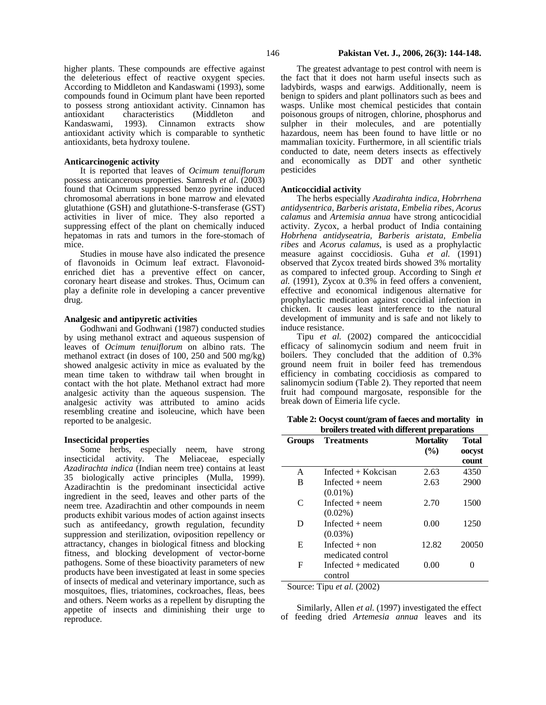higher plants. These compounds are effective against the deleterious effect of reactive oxygent species. According to Middleton and Kandaswami (1993), some compounds found in Ocimum plant have been reported to possess strong antioxidant activity. Cinnamon has antioxidant characteristics (Middleton and Kandaswami, 1993). Cinnamon extracts show antioxidant activity which is comparable to synthetic antioxidants, beta hydroxy toulene.

### **Anticarcinogenic activity**

It is reported that leaves of *Ocimum tenuiflorum* possess anticancerous properties. Samresh *et al*. (2003) found that Ocimum suppressed benzo pyrine induced chromosomal aberrations in bone marrow and elevated glutathione (GSH) and glutathione-S-transferase (GST) activities in liver of mice. They also reported a suppressing effect of the plant on chemically induced hepatomas in rats and tumors in the fore-stomach of mice.

Studies in mouse have also indicated the presence of flavonoids in Ocimum leaf extract. Flavonoidenriched diet has a preventive effect on cancer, coronary heart disease and strokes. Thus, Ocimum can play a definite role in developing a cancer preventive drug.

### **Analgesic and antipyretic activities**

Godhwani and Godhwani (1987) conducted studies by using methanol extract and aqueous suspension of leaves of *Ocimum tenuiflorum* on albino rats. The methanol extract (in doses of 100, 250 and 500 mg/kg) showed analgesic activity in mice as evaluated by the mean time taken to withdraw tail when brought in contact with the hot plate. Methanol extract had more analgesic activity than the aqueous suspension. The analgesic activity was attributed to amino acids resembling creatine and isoleucine, which have been reported to be analgesic.

### **Insecticidal properties**

Some herbs, especially neem, have strong insecticidal activity. The Meliaceae, especially *Azadirachta indica* (Indian neem tree) contains at least 35 biologically active principles (Mulla, 1999). Azadirachtin is the predominant insecticidal active ingredient in the seed, leaves and other parts of the neem tree. Azadirachtin and other compounds in neem products exhibit various modes of action against insects such as antifeedancy, growth regulation, fecundity suppression and sterilization, oviposition repellency or attractancy, changes in biological fitness and blocking fitness, and blocking development of vector-borne pathogens. Some of these bioactivity parameters of new products have been investigated at least in some species of insects of medical and veterinary importance, such as mosquitoes, flies, triatomines, cockroaches, fleas, bees and others. Neem works as a repellent by disrupting the appetite of insects and diminishing their urge to reproduce.

The greatest advantage to pest control with neem is the fact that it does not harm useful insects such as ladybirds, wasps and earwigs. Additionally, neem is benign to spiders and plant pollinators such as bees and wasps. Unlike most chemical pesticides that contain poisonous groups of nitrogen, chlorine, phosphorus and sulpher in their molecules, and are potentially hazardous, neem has been found to have little or no mammalian toxicity. Furthermore, in all scientific trials conducted to date, neem deters insects as effectively and economically as DDT and other synthetic pesticides

#### **Anticoccidial activity**

The herbs especially *Azadirahta indica, Hobrrhena antidysentrica, Barberis aristata, Embelia ribes, Acorus calamus* and *Artemisia annua* have strong anticocidial activity. Zycox, a herbal product of India containing *Hobrhena antidyseatria, Barberis aristata, Embelia ribes* and *Acorus calamus,* is used as a prophylactic measure against coccidiosis. Guha *et al.* (1991) observed that Zycox treated birds showed 3% mortality as compared to infected group. According to Singh *et al.* (1991), Zycox at 0.3% in feed offers a convenient, effective and economical indigenous alternative for prophylactic medication against coccidial infection in chicken. It causes least interference to the natural development of immunity and is safe and not likely to induce resistance.

Tipu *et al.* (2002) compared the anticoccidial efficacy of salinomycin sodium and neem fruit in boilers. They concluded that the addition of 0.3% ground neem fruit in boiler feed has tremendous efficiency in combating coccidiosis as compared to salinomycin sodium (Table 2). They reported that neem fruit had compound margosate, responsible for the break down of Eimeria life cycle.

**Table 2: Oocyst count/gram of faeces and mortality in broilers treated with different preparations** 

| огонего и сакса тип ангегент ргерагаалоно |                        |                  |              |  |  |  |  |  |
|-------------------------------------------|------------------------|------------------|--------------|--|--|--|--|--|
| <b>Groups</b>                             | <b>Treatments</b>      | <b>Mortality</b> | <b>Total</b> |  |  |  |  |  |
|                                           |                        | $\frac{6}{2}$    | oocyst       |  |  |  |  |  |
|                                           |                        |                  | count        |  |  |  |  |  |
| A                                         | Infected + Kokcisan    | 2.63             | 4350         |  |  |  |  |  |
| B                                         | Infected $+$ neem      | 2.63             | 2900         |  |  |  |  |  |
|                                           | $(0.01\%)$             |                  |              |  |  |  |  |  |
| $\mathcal{C}$                             | Infected $+$ neem      | 2.70             | 1500         |  |  |  |  |  |
|                                           | $(0.02\%)$             |                  |              |  |  |  |  |  |
| D                                         | Infected $+$ neem      | 0.00             | 1250         |  |  |  |  |  |
|                                           | $(0.03\%)$             |                  |              |  |  |  |  |  |
| E                                         | Infected $+$ non       | 12.82            | 20050        |  |  |  |  |  |
|                                           | medicated control      |                  |              |  |  |  |  |  |
| F                                         | Infected $+$ medicated | 0.00             |              |  |  |  |  |  |
|                                           | control                |                  |              |  |  |  |  |  |
|                                           | $\sim$                 |                  |              |  |  |  |  |  |

Source: Tipu *et al.* (2002)

Similarly, Allen *et al.* (1997) investigated the effect of feeding dried *Artemesia annua* leaves and its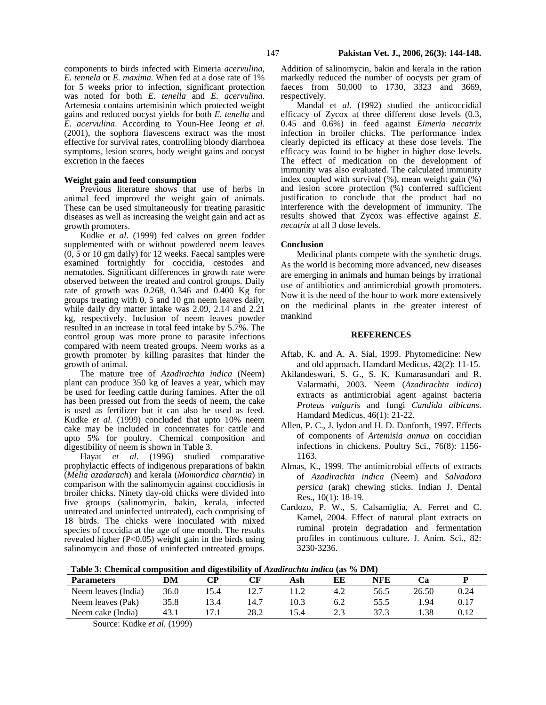components to birds infected with Eimeria *acervulina*, *E. tennela* or *E. maxima.* When fed at a dose rate of 1% for 5 weeks prior to infection, significant protection was noted for both *E. tenella* and *E. acervulina*. Artemesia contains artemisinin which protected weight gains and reduced oocyst yields for both *E. tenella* and *E. acervulina*. According to Youn-Hee Jeong *et al.*  (2001), the sophora flavescens extract was the most effective for survival rates, controlling bloody diarrhoea symptoms, lesion scores, body weight gains and oocyst excretion in the faeces

### **Weight gain and feed consumption**

Previous literature shows that use of herbs in animal feed improved the weight gain of animals. These can be used simultaneously for treating parasitic diseases as well as increasing the weight gain and act as growth promoters.

Kudke *et al*. (1999) fed calves on green fodder supplemented with or without powdered neem leaves (0, 5 or 10 gm daily) for 12 weeks. Faecal samples were examined fortnightly for coccidia, cestodes and nematodes. Significant differences in growth rate were observed between the treated and control groups. Daily rate of growth was 0.268, 0.346 and 0.400 Kg for groups treating with 0, 5 and 10 gm neem leaves daily, while daily dry matter intake was 2.09, 2.14 and 2.21 kg, respectively. Inclusion of neem leaves powder resulted in an increase in total feed intake by 5.7%. The control group was more prone to parasite infections compared with neem treated groups. Neem works as a growth promoter by killing parasites that hinder the growth of animal.

The mature tree of *Azadirachta indica* (Neem) plant can produce 350 kg of leaves a year, which may be used for feeding cattle during famines. After the oil has been pressed out from the seeds of neem, the cake is used as fertilizer but it can also be used as feed. Kudke *et al.* (1999) concluded that upto 10% neem cake may be included in concentrates for cattle and upto 5% for poultry. Chemical composition and digestibility of neem is shown in Table 3.

Hayat *et al.* (1996) studied comparative prophylactic effects of indigenous preparations of bakin (*Melia azadarach*) and kerala (*Momordica charntia*) in comparison with the salinomycin against coccidiosis in broiler chicks. Ninety day-old chicks were divided into five groups (salinomycin, bakin, kerala, infected untreated and uninfected untreated), each comprising of 18 birds. The chicks were inoculated with mixed species of coccidia at the age of one month. The results revealed higher (P<0.05) weight gain in the birds using salinomycin and those of uninfected untreated groups.

Addition of salinomycin, bakin and kerala in the ration markedly reduced the number of oocysts per gram of faeces from 50,000 to 1730, 3323 and 3669, respectively.

Mandal et *al.* (1992) studied the anticoccidial efficacy of Zycox at three different dose levels (0.3, 0.45 and 0.6%) in feed against *Eimeria necatrix*  infection in broiler chicks. The performance index clearly depicted its efficacy at these dose levels. The efficacy was found to be higher in higher dose levels. The effect of medication on the development of immunity was also evaluated. The calculated immunity index coupled with survival (%), mean weight gain (%) and lesion score protection (%) conferred sufficient justification to conclude that the product had no interference with the development of immunity. The results showed that Zycox was effective against *E. necatrix* at all 3 dose levels.

## **Conclusion**

Medicinal plants compete with the synthetic drugs. As the world is becoming more advanced, new diseases are emerging in animals and human beings by irrational use of antibiotics and antimicrobial growth promoters. Now it is the need of the hour to work more extensively on the medicinal plants in the greater interest of mankind

### **REFERENCES**

- Aftab, K. and A. A. Sial, 1999. Phytomedicine: New and old approach. Hamdard Medicus, 42(2): 11-15.
- Akilandeswari, S. G., S. K. Kumarasundari and R. Valarmathi, 2003. Neem (*Azadirachta indica*) extracts as antimicrobial agent against bacteria *Proteus vulgaris* and fungi *Candida albicans*. Hamdard Medicus, 46(1): 21-22.
- Allen, P. C., J. lydon and H. D. Danforth, 1997. Effects of components of *Artemisia annua* on coccidian infections in chickens. Poultry Sci., 76(8): 1156- 1163.
- Almas, K., 1999. The antimicrobial effects of extracts of *Azadirachta indica* (Neem) and *Salvadora persica* (arak) chewing sticks. Indian J. Dental Res., 10(1): 18-19.
- Cardozo, P. W., S. Calsamiglia, A. Ferret and C. Kamel, 2004. Effect of natural plant extracts on ruminal protein degradation and fermentation profiles in continuous culture. J. Anim. Sci., 82: 3230-3236.

**Table 3: Chemical composition and digestibility of** *Azadirachta indica* **(as % DM)**

| <b>Parameters</b>   | DM   | $\cap$ d |      | Ash  | EE         | NFE  |       |      |  |  |
|---------------------|------|----------|------|------|------------|------|-------|------|--|--|
| Neem leaves (India) | 36.0 | l 5.4    |      |      | 4.2        | 56.5 | 26.50 | 0.24 |  |  |
| Neem leaves (Pak)   | 35.8 | 13.4     | 14.7 | 10.3 | 6.2        | 55.5 | .94   |      |  |  |
| Neem cake (India)   | 43.1 | .        | 28.2 |      | C C<br>د.ء | 37.3 | . 38  | በ 1つ |  |  |

Source: Kudke *et al.* (1999)